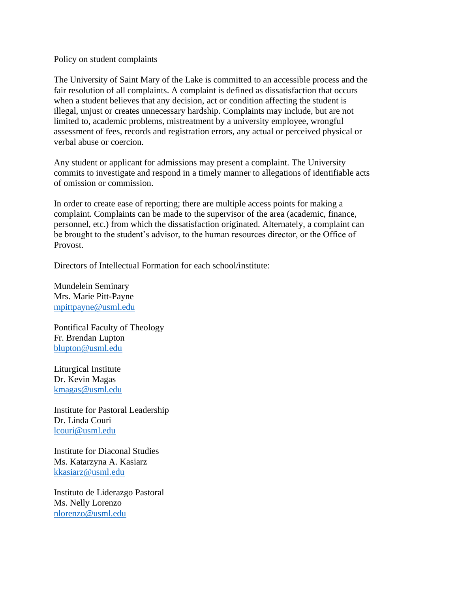Policy on student complaints

The University of Saint Mary of the Lake is committed to an accessible process and the fair resolution of all complaints. A complaint is defined as dissatisfaction that occurs when a student believes that any decision, act or condition affecting the student is illegal, unjust or creates unnecessary hardship. Complaints may include, but are not limited to, academic problems, mistreatment by a university employee, wrongful assessment of fees, records and registration errors, any actual or perceived physical or verbal abuse or coercion.

Any student or applicant for admissions may present a complaint. The University commits to investigate and respond in a timely manner to allegations of identifiable acts of omission or commission.

In order to create ease of reporting; there are multiple access points for making a complaint. Complaints can be made to the supervisor of the area (academic, finance, personnel, etc.) from which the dissatisfaction originated. Alternately, a complaint can be brought to the student's advisor, to the human resources director, or the Office of Provost.

Directors of Intellectual Formation for each school/institute:

Mundelein Seminary Mrs. Marie Pitt-Payne [mpittpayne@usml.edu](mailto:mpittpayne@usml.edu)

Pontifical Faculty of Theology Fr. Brendan Lupton [blupton@usml.edu](mailto:blupton@usml.edu)

Liturgical Institute Dr. Kevin Magas [kmagas@usml.edu](mailto:kmagas@usml.edu)

Institute for Pastoral Leadership Dr. Linda Couri [lcouri@usml.edu](mailto:lcouri@usml.edu)

Institute for Diaconal Studies Ms. Katarzyna A. Kasiarz [kkasiarz@usml.edu](mailto:kkasiarz@usml.edu)

Instituto de Liderazgo Pastoral Ms. Nelly Lorenzo [nlorenzo@usml.edu](mailto:nlorenzo@usml.edu)